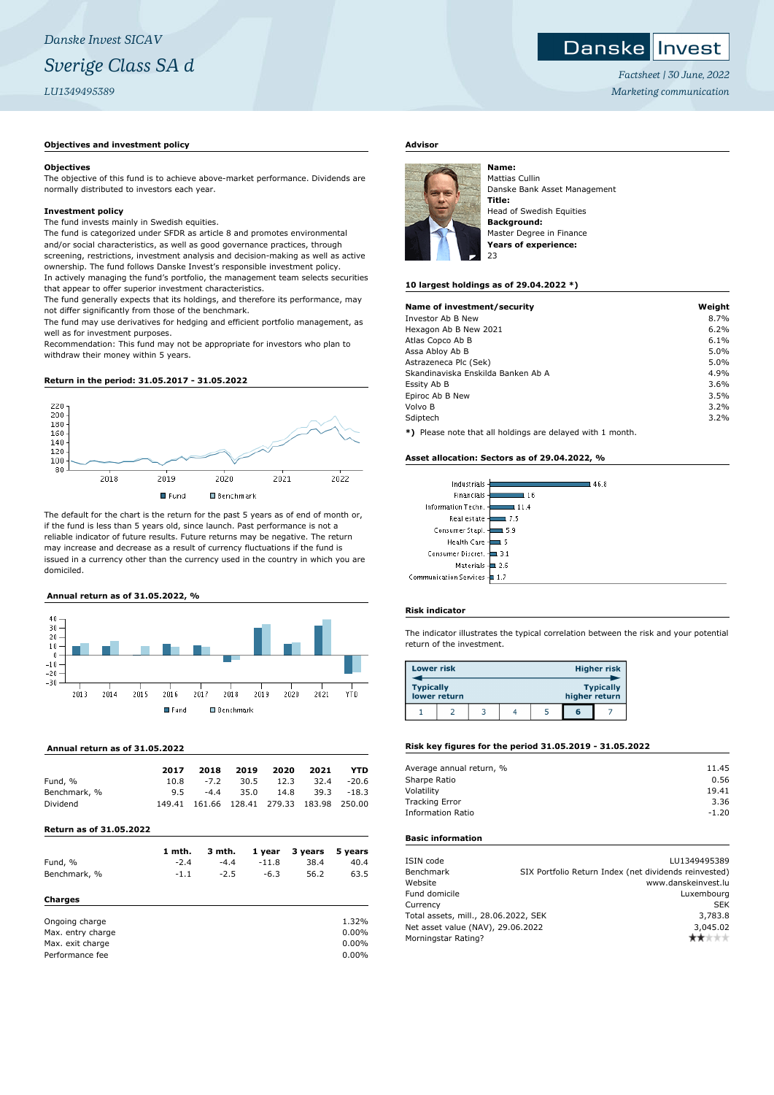# **Objectives and investment policy**

#### **Objectives**

The objective of this fund is to achieve above-market performance. Dividends are normally distributed to investors each year.

#### **Investment policy**

The fund invests mainly in Swedish equities.

The fund is categorized under SFDR as article 8 and promotes environmental and/or social characteristics, as well as good governance practices, through screening, restrictions, investment analysis and decision-making as well as active ownership. The fund follows Danske Invest's responsible investment policy. In actively managing the fund's portfolio, the management team selects securities that appear to offer superior investment characteristics.

The fund generally expects that its holdings, and therefore its performance, may not differ significantly from those of the benchmark.

The fund may use derivatives for hedging and efficient portfolio management, as well as for investment purposes.

Recommendation: This fund may not be appropriate for investors who plan to withdraw their money within 5 years.

#### **Return in the period: 31.05.2017 - 31.05.2022**



The default for the chart is the return for the past 5 years as of end of month or, if the fund is less than 5 years old, since launch. Past performance is not a reliable indicator of future results. Future returns may be negative. The return may increase and decrease as a result of currency fluctuations if the fund is issued in a currency other than the currency used in the country in which you are domiciled.

## **Annual return as of 31.05.2022, %**



#### **Annual return as of 31.05.2022**

|              | 2017 | 2018   | 2019 | 2020                                      | 2021                  | YTD   |
|--------------|------|--------|------|-------------------------------------------|-----------------------|-------|
| Fund, %      | 10.8 | $-7.2$ | 30.5 | 12.3                                      | 32.4                  | -20.6 |
| Benchmark, % | 9.5  | $-4.4$ | 35.0 |                                           | $14.8$ $39.3$ $-18.3$ |       |
| Dividend     |      |        |      | 149.41 161.66 128.41 279.33 183.98 250.00 |                       |       |

#### **Return as of 31.05.2022**

|                   | 1 mth. | 3 mth. | 1 year  | 3 years | 5 years  |
|-------------------|--------|--------|---------|---------|----------|
| Fund, %           | $-2.4$ | $-4.4$ | $-11.8$ | 38.4    | 40.4     |
| Benchmark, %      | $-1.1$ | $-2.5$ | $-6.3$  | 56.2    | 63.5     |
| Charges           |        |        |         |         |          |
| Ongoing charge    |        |        |         |         | 1.32%    |
| Max. entry charge |        |        |         |         | $0.00\%$ |
| Max. exit charge  |        |        |         |         | 0.00%    |

Performance fee 0.00%

# **Advisor**



Mattias Cullin Danske Bank Asset Management **Title:** Head of Swedish Equities **Background:** Master Degree in Finance **Years of experience:** 23

# **10 largest holdings as of 29.04.2022 \*)**

| Name of investment/security                                  | Weight |
|--------------------------------------------------------------|--------|
| Investor Ab B New                                            | 8.7%   |
| Hexagon Ab B New 2021                                        | 6.2%   |
| Atlas Copco Ab B                                             | 6.1%   |
| Assa Abloy Ab B                                              | 5.0%   |
| Astrazeneca Plc (Sek)                                        | 5.0%   |
| Skandinaviska Enskilda Banken Ab A                           | 4.9%   |
| Essity Ab B                                                  | 3.6%   |
| Epiroc Ab B New                                              | 3.5%   |
| Volvo B                                                      | 3.2%   |
| Sdiptech                                                     | 3.2%   |
| $*1$ Dispos pote that all beldings are delayed with 1 member |        |

**\*)** Please note that all holdings are delayed with 1 month.

#### **Asset allocation: Sectors as of 29.04.2022, %**

| l 46.8                        |
|-------------------------------|
| ! 16                          |
| 11.4                          |
| 7.5                           |
| l 5.9                         |
| : 5                           |
| Consumer Discret. - 3.1       |
| $\blacksquare$ 2.6            |
| Communication Services -- 1.7 |
|                               |

# **Risk indicator**

The indicator illustrates the typical correlation between the risk and your potential return of the investment.

| <b>Lower risk</b> |              |  |               | Higher risk      |
|-------------------|--------------|--|---------------|------------------|
| <b>Typically</b>  | lower return |  | higher return | <b>Typically</b> |
|                   |              |  | G             |                  |

# **Risk key figures for the period 31.05.2019 - 31.05.2022**

| Average annual return, % | 11.45   |
|--------------------------|---------|
| Sharpe Ratio             | 0.56    |
| Volatility               | 19.41   |
| <b>Tracking Error</b>    | 3.36    |
| <b>Information Ratio</b> | $-1.20$ |
|                          |         |

# **Basic information**

| ISIN code                            | LU1349495389                                          |
|--------------------------------------|-------------------------------------------------------|
| Benchmark                            | SIX Portfolio Return Index (net dividends reinvested) |
| Website                              | www.danskeinvest.lu                                   |
| Fund domicile                        | Luxembourg                                            |
| Currency                             | <b>SEK</b>                                            |
| Total assets, mill., 28.06.2022, SEK | 3,783.8                                               |
| Net asset value (NAV), 29.06.2022    | 3,045.02                                              |
| Morningstar Rating?                  | ****                                                  |

*Factsheet | 30 June, 2022 Marketing communication*